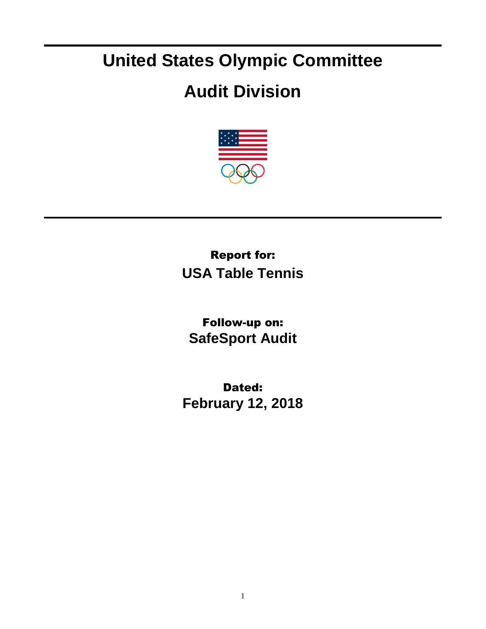## **United States Olympic Committee**

## **Audit Division**



Report for: **USA Table Tennis**

Follow-up on: **SafeSport Audit**

Dated: **February 12, 2018**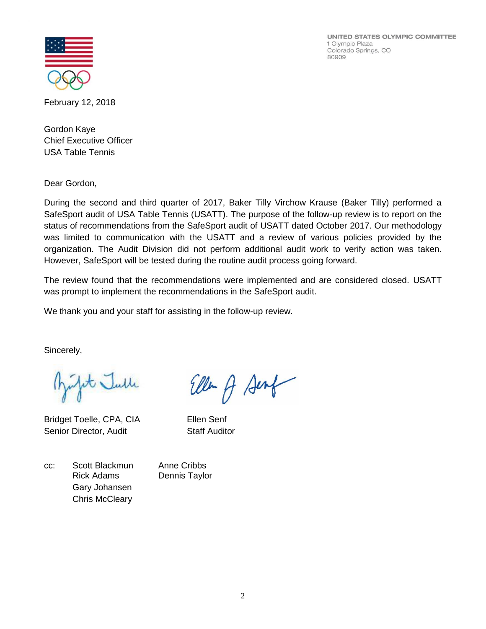UNITED STATES OLYMPIC COMMITTEE 1 Olympic Plaza Colorado Springs, CO 80909



February 12, 2018

Gordon Kaye Chief Executive Officer USA Table Tennis

Dear Gordon,

During the second and third quarter of 2017, Baker Tilly Virchow Krause (Baker Tilly) performed a SafeSport audit of USA Table Tennis (USATT). The purpose of the follow-up review is to report on the status of recommendations from the SafeSport audit of USATT dated October 2017. Our methodology was limited to communication with the USATT and a review of various policies provided by the organization. The Audit Division did not perform additional audit work to verify action was taken. However, SafeSport will be tested during the routine audit process going forward.

The review found that the recommendations were implemented and are considered closed. USATT was prompt to implement the recommendations in the SafeSport audit.

Ellen A Senf

We thank you and your staff for assisting in the follow-up review.

Sincerely,

julit Julle

Bridget Toelle, CPA, CIA Ellen Senf Senior Director, Audit Staff Auditor

cc: Scott Blackmun Anne Cribbs Rick Adams Dennis Taylor Gary Johansen Chris McCleary